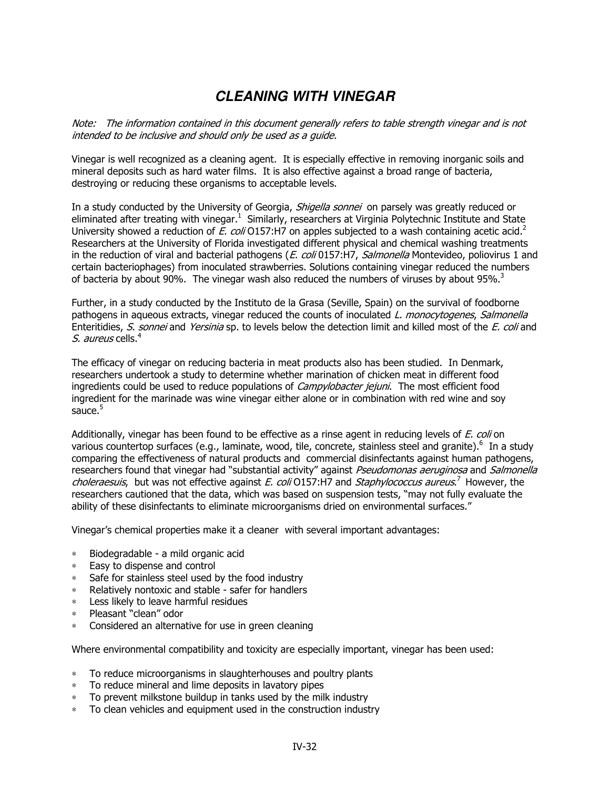## **CLEANING WITH VINEGAR**

Note: The information contained in this document generally refers to table strength vinegar and is not intended to be inclusive and should only be used as a guide.

Vinegar is well recognized as a cleaning agent. It is especially effective in removing inorganic soils and mineral deposits such as hard water films. It is also effective against a broad range of bacteria, destroying or reducing these organisms to acceptable levels.

In a study conducted by the University of Georgia, *Shigella sonnei* on parsely was greatly reduced or eliminated after treating with vinegar.<sup>1</sup> Similarly, researchers at Virginia Polytechnic Institute and State University showed a reduction of E. coli O157:H7 on apples subjected to a wash containing acetic acid.<sup>2</sup> Researchers at the University of Florida investigated different physical and chemical washing treatments in the reduction of viral and bacterial pathogens (*E. coli* 0157:H7, Salmonella Montevideo, poliovirus 1 and certain bacteriophages) from inoculated strawberries. Solutions containing vinegar reduced the numbers of bacteria by about 90%. The vinegar wash also reduced the numbers of viruses by about 95%.<sup>3</sup>

Further, in a study conducted by the Instituto de la Grasa (Seville, Spain) on the survival of foodborne pathogens in aqueous extracts, vinegar reduced the counts of inoculated L. monocytogenes, Salmonella Enteritidies, S. sonnei and Yersinia sp. to levels below the detection limit and killed most of the E. coli and S. aureus cells.<sup>4</sup>

The efficacy of vinegar on reducing bacteria in meat products also has been studied. In Denmark, researchers undertook a study to determine whether marination of chicken meat in different food ingredients could be used to reduce populations of *Campylobacter jejuni*. The most efficient food ingredient for the marinade was wine vinegar either alone or in combination with red wine and soy sauce. $5$ 

Additionally, vinegar has been found to be effective as a rinse agent in reducing levels of E. coli on various countertop surfaces (e.g., laminate, wood, tile, concrete, stainless steel and granite).<sup>6</sup> In a study comparing the effectiveness of natural products and commercial disinfectants against human pathogens, researchers found that vinegar had "substantial activity" against Pseudomonas aeruginosa and Salmonella choleraesuis, but was not effective against E. coli O157:H7 and Staphylococcus aureus.<sup>7</sup> However, the researchers cautioned that the data, which was based on suspension tests, "may not fully evaluate the ability of these disinfectants to eliminate microorganisms dried on environmental surfaces."

Vinegar's chemical properties make it a cleaner with several important advantages:

- ∗ Biodegradable a mild organic acid
- Easy to dispense and control
- ∗ Safe for stainless steel used by the food industry
- ∗ Relatively nontoxic and stable safer for handlers
- ∗ Less likely to leave harmful residues
- ∗ Pleasant "clean" odor
- ∗ Considered an alternative for use in green cleaning

Where environmental compatibility and toxicity are especially important, vinegar has been used:

- To reduce microorganisms in slaughterhouses and poultry plants
- ∗ To reduce mineral and lime deposits in lavatory pipes
- To prevent milkstone buildup in tanks used by the milk industry
- ∗ To clean vehicles and equipment used in the construction industry